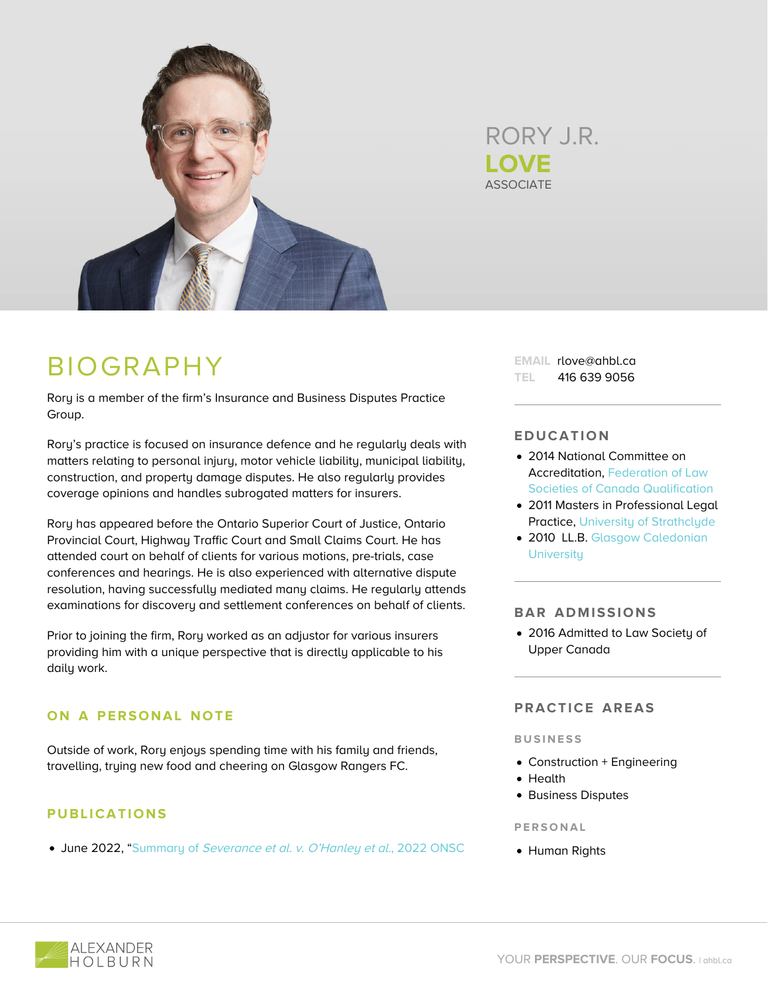

**ASSOCIATE** RORY J.R. **LOVE**

# BIOGRAPHY

Rory is a member of the firm's Insurance and Business Disputes Practice Group.

Rory's practice is focused on insurance defence and he regularly deals with matters relating to personal injury, motor vehicle liability, municipal liability, construction, and property damage disputes. He also regularly provides coverage opinions and handles subrogated matters for insurers.

Rory has appeared before the Ontario Superior Court of Justice, Ontario Provincial Court, Highway Traffic Court and Small Claims Court. He has attended court on behalf of clients for various motions, pre-trials, case conferences and hearings. He is also experienced with alternative dispute resolution, having successfully mediated many claims. He regularly attends examinations for discovery and settlement conferences on behalf of clients.

Prior to joining the firm, Rory worked as an adjustor for various insurers providing him with a unique perspective that is directly applicable to his daily work.

# **ON A PERSONAL NOTE**

Outside of work, Rory enjoys spending time with his family and friends, travelling, trying new food and cheering on Glasgow Rangers FC.

# **PUBLICATIONS**

• June 2022, ["Summary of](https://www.ahbl.ca/wp-content/uploads/2021/03/Hearsay-June-2022-Rory-Love-Case-Summary.pdf) [Severance et al. v. O'Hanley et al.](https://www.ahbl.ca/wp-content/uploads/2021/03/Hearsay-June-2022-Rory-Love-Case-Summary.pdf)[, 2022 ONSC](https://www.ahbl.ca/wp-content/uploads/2021/03/Hearsay-June-2022-Rory-Love-Case-Summary.pdf)

**EMAIL** rlove@ahbl.ca **TEL** 416 639 9056

## **EDUCATION**

- 2014 National Committee on Accreditation, [Federation of Law](https://nca.legal/) [Societies of Canada Qualification](https://nca.legal/)
- 2011 Masters in Professional Legal Practice, [University of Strathclyde](https://www.strath.ac.uk/)
- 2010 LL.B. [Glasgow Caledonian](https://www.gcu.ac.uk/) **[University](https://www.gcu.ac.uk/)**

### **BAR ADMISSIONS**

2016 Admitted to Law Society of Upper Canada

## **PRACTICE AREAS**

#### **BUSINESS**

- Construction + Engineering
- Health
- **Business Disputes**

#### **PERSONAL**

Human Rights